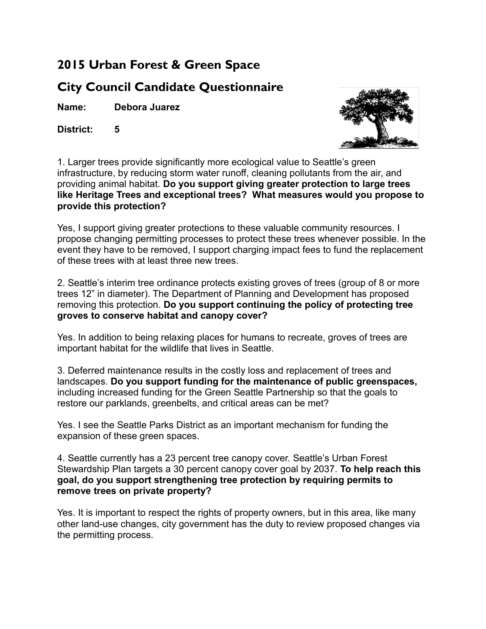## **2015 Urban Forest & Green Space**

## **City Council Candidate Questionnaire**

**Name: Debora Juarez**

**District: 5**



1. Larger trees provide significantly more ecological value to Seattle's green infrastructure, by reducing storm water runoff, cleaning pollutants from the air, and providing animal habitat. **Do you support giving greater protection to large trees like Heritage Trees and exceptional trees? What measures would you propose to provide this protection?**

Yes, I support giving greater protections to these valuable community resources. I propose changing permitting processes to protect these trees whenever possible. In the event they have to be removed, I support charging impact fees to fund the replacement of these trees with at least three new trees.

2. Seattle's interim tree ordinance protects existing groves of trees (group of 8 or more trees 12" in diameter). The Department of Planning and Development has proposed removing this protection. **Do you support continuing the policy of protecting tree groves to conserve habitat and canopy cover?**

Yes. In addition to being relaxing places for humans to recreate, groves of trees are important habitat for the wildlife that lives in Seattle.

3. Deferred maintenance results in the costly loss and replacement of trees and landscapes. **Do you support funding for the maintenance of public greenspaces,** including increased funding for the Green Seattle Partnership so that the goals to restore our parklands, greenbelts, and critical areas can be met?

Yes. I see the Seattle Parks District as an important mechanism for funding the expansion of these green spaces.

4. Seattle currently has a 23 percent tree canopy cover. Seattle's Urban Forest Stewardship Plan targets a 30 percent canopy cover goal by 2037. **To help reach this goal, do you support strengthening tree protection by requiring permits to remove trees on private property?**

Yes. It is important to respect the rights of property owners, but in this area, like many other land-use changes, city government has the duty to review proposed changes via the permitting process.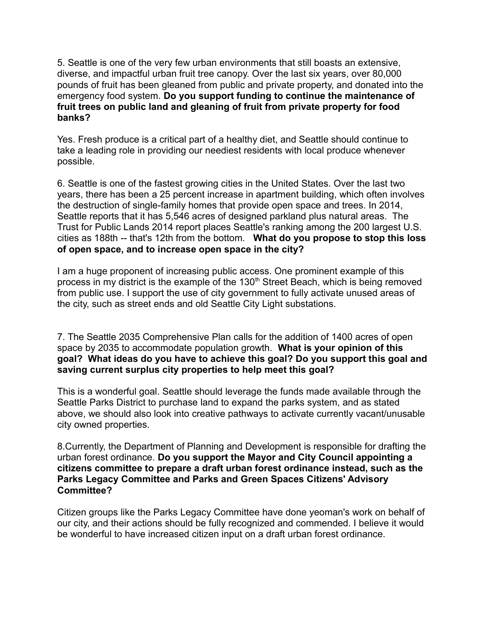5. Seattle is one of the very few urban environments that still boasts an extensive, diverse, and impactful urban fruit tree canopy. Over the last six years, over 80,000 pounds of fruit has been gleaned from public and private property, and donated into the emergency food system. **Do you support funding to continue the maintenance of fruit trees on public land and gleaning of fruit from private property for food banks?**

Yes. Fresh produce is a critical part of a healthy diet, and Seattle should continue to take a leading role in providing our neediest residents with local produce whenever possible.

6. Seattle is one of the fastest growing cities in the United States. Over the last two years, there has been a 25 percent increase in apartment building, which often involves the destruction of single-family homes that provide open space and trees. In 2014, Seattle reports that it has 5,546 acres of designed parkland plus natural areas. The Trust for Public Lands 2014 report places Seattle's ranking among the 200 largest U.S. cities as 188th -- that's 12th from the bottom. **What do you propose to stop this loss of open space, and to increase open space in the city?**

I am a huge proponent of increasing public access. One prominent example of this process in my district is the example of the  $130<sup>th</sup>$  Street Beach, which is being removed from public use. I support the use of city government to fully activate unused areas of the city, such as street ends and old Seattle City Light substations.

7. The Seattle 2035 Comprehensive Plan calls for the addition of 1400 acres of open space by 2035 to accommodate population growth. **What is your opinion of this goal? What ideas do you have to achieve this goal? Do you support this goal and saving current surplus city properties to help meet this goal?**

This is a wonderful goal. Seattle should leverage the funds made available through the Seattle Parks District to purchase land to expand the parks system, and as stated above, we should also look into creative pathways to activate currently vacant/unusable city owned properties.

8.Currently, the Department of Planning and Development is responsible for drafting the urban forest ordinance. **Do you support the Mayor and City Council appointing a citizens committee to prepare a draft urban forest ordinance instead, such as the Parks Legacy Committee and Parks and Green Spaces Citizens' Advisory Committee?**

Citizen groups like the Parks Legacy Committee have done yeoman's work on behalf of our city, and their actions should be fully recognized and commended. I believe it would be wonderful to have increased citizen input on a draft urban forest ordinance.